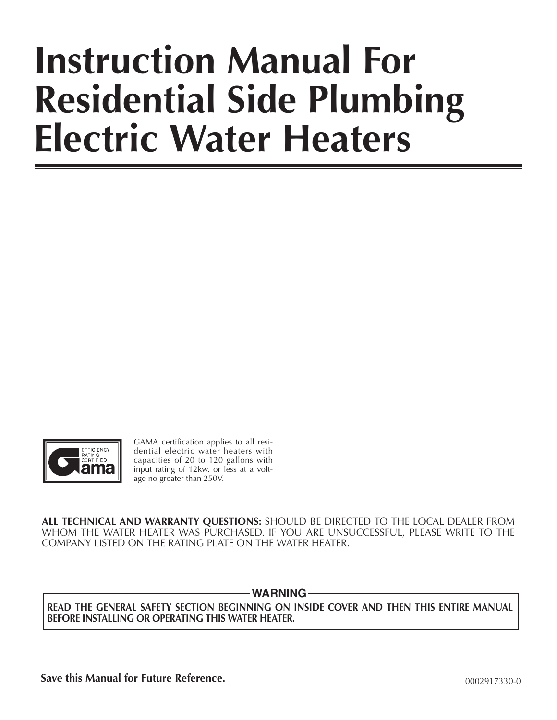# **Instruction Manual For Residential Side Plumbing Electric Water Heaters**



GAMA certification applies to all residential electric water heaters with capacities of 20 to 120 gallons with input rating of 12kw. or less at a voltage no greater than 250V.

**ALL TECHNICAL AND WARRANTY QUESTIONS:** SHOULD BE DIRECTED TO THE LOCAL DEALER FROM WHOM THE WATER HEATER WAS PURCHASED. IF YOU ARE UNSUCCESSFUL, PLEASE WRITE TO THE COMPANY LISTED ON THE RATING PLATE ON THE WATER HEATER.

-WARNING*-*

**READ THE GENERAL SAFETY SECTION BEGINNING ON INSIDE COVER AND THEN THIS ENTIRE MANUAL BEFORE INSTALLING OR OPERATING THIS WATER HEATER.**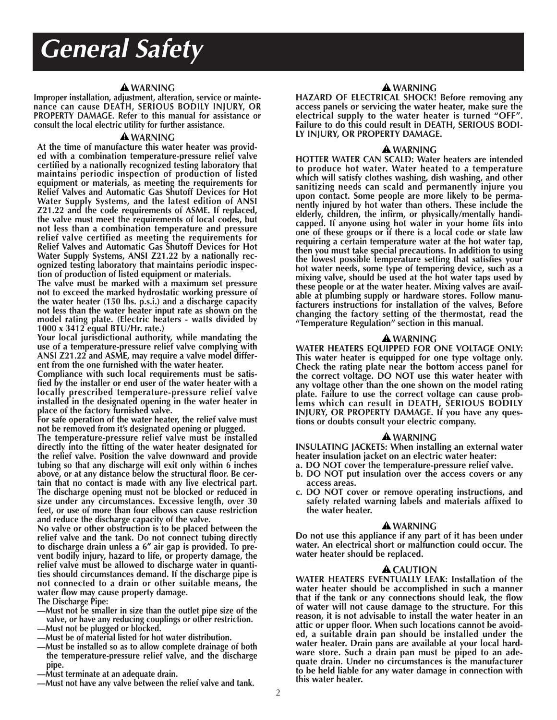# *General Safety*

#### **WARNING**

**Improper installation, adjustment, alteration, service or maintenance can cause DEATH, SERIOUS BODILY INJURY, OR PROPERTY DAMAGE. Refer to this manual for assistance or consult the local electric utility for further assistance.**

#### **WARNING**

**At the time of manufacture this water heater was provided with a combination temperature-pressure relief valve certified by a nationally recognized testing laboratory that maintains periodic inspection of production of listed equipment or materials, as meeting the requirements for Relief Valves and Automatic Gas Shutoff Devices for Hot Water Supply Systems, and the latest edition of ANSI Z21.22 and the code requirements of ASME. If replaced, the valve must meet the requirements of local codes, but not less than a combination temperature and pressure relief valve certified as meeting the requirements for Relief Valves and Automatic Gas Shutoff Devices for Hot Water Supply Systems, ANSI Z21.22 by a nationally recognized testing laboratory that maintains periodic inspection of production of listed equipment or materials.**

**The valve must be marked with a maximum set pressure not to exceed the marked hydrostatic working pressure of the water heater (150 lbs. p.s.i.) and a discharge capacity not less than the water heater input rate as shown on the model rating plate. (Electric heaters - watts divided by 1000 x 3412 equal BTU/Hr. rate.)**

**Your local jurisdictional authority, while mandating the use of a temperature-pressure relief valve complying with ANSI Z21.22 and ASME, may require a valve model different from the one furnished with the water heater.**

**Compliance with such local requirements must be satisfied by the installer or end user of the water heater with a locally prescribed temperature-pressure relief valve installed in the designated opening in the water heater in place of the factory furnished valve.**

**For safe operation of the water heater, the relief valve must not be removed from it's designated opening or plugged.**

**The temperature-pressure relief valve must be installed directly into the fitting of the water heater designated for the relief valve. Position the valve downward and provide tubing so that any discharge will exit only within 6 inches above, or at any distance below the structural floor. Be certain that no contact is made with any live electrical part. The discharge opening must not be blocked or reduced in size under any circumstances. Excessive length, over 30 feet, or use of more than four elbows can cause restriction and reduce the discharge capacity of the valve.**

**No valve or other obstruction is to be placed between the relief valve and the tank. Do not connect tubing directly to discharge drain unless a 6**″ **air gap is provided. To pre vent bodily injury, hazard to life, or property damage, the** relief valve must be allowed to discharge water in quanti**ties should circumstances demand. If the discharge pipe is not connected to a drain or other suitable means, the water flow may cause property damage.**

**The Discharge Pipe:**

- **—Must not be smaller in size than the outlet pipe size of the valve, or have any reducing couplings or other restriction. —Must not be plugged or blocked.**
- 
- **—Must be of material listed for hot water distribution.**
- **—Must be installed so as to allow complete drainage of both the temperature-pressure relief valve, and the discharge pipe.**
- **—Must terminate at an adequate drain.**
- **—Must not have any valve between the relief valve and tank.**

#### **WARNING**

**HAZARD OF ELECTRICAL SHOCK! Before removing any access panels or servicing the water heater, make sure the electrical supply to the water heater is turned "OFF". Failure to do this could result in DEATH, SERIOUS BODI-LY INJURY, OR PROPERTY DAMAGE.**

#### **WARNING**

**HOTTER WATER CAN SCALD: Water heaters are intended to produce hot water. Water heated to a temperature which will satisfy clothes washing, dish washing, and other sanitizing needs can scald and permanently injure you upon contact. Some people are more likely to be permanently injured by hot water than others. These include the elderly, children, the infirm, or physically/mentally handicapped. If anyone using hot water in your home fits into one of these groups or if there is a local code or state law requiring a certain temperature water at the hot water tap, then you must take special precautions. In addition to using the lowest possible temperature setting that satisfies your hot water needs, some type of tempering device, such as a mixing valve, should be used at the hot water taps used by these people or at the water heater. Mixing valves are available at plumbing supply or hardware stores. Follow manufacturers instructions for installation of the valves, Before changing the factory setting of the thermostat, read the "Temperature Regulation" section in this manual.**

#### **WARNING**

**WATER HEATERS EQUIPPED FOR ONE VOLTAGE ONLY: This water heater is equipped for one type voltage only. Check the rating plate near the bottom access panel for the correct voltage. DO NOT use this water heater with any voltage other than the one shown on the model rating plate. Failure to use the correct voltage can cause problems which can result in DEATH, SERIOUS BODILY INJURY, OR PROPERTY DAMAGE. If you have any questions or doubts consult your electric company.**

#### **WARNING**

**INSULATING JACKETS: When installing an external water heater insulation jacket on an electric water heater:**

- **a. DO NOT cover the temperature-pressure relief valve.**
- **b. DO NOT put insulation over the access covers or any access areas.**
- **c. DO NOT cover or remove operating instructions, and safety related warning labels and materials affixed to the water heater.**

#### **WARNING**

**Do not use this appliance if any part of it has been under water. An electrical short or malfunction could occur. The water heater should be replaced.**

#### **A** CAUTION

**WATER HEATERS EVENTUALLY LEAK: Installation of the water heater should be accomplished in such a manner that if the tank or any connections should leak, the flow of water will not cause damage to the structure. For this reason, it is not advisable to install the water heater in an attic or upper floor. When such locations cannot be avoided, a suitable drain pan should be installed under the water heater. Drain pans are available at your local hardware store. Such a drain pan must be piped to an adequate drain. Under no circumstances is the manufacturer to be held liable for any water damage in connection with this water heater.**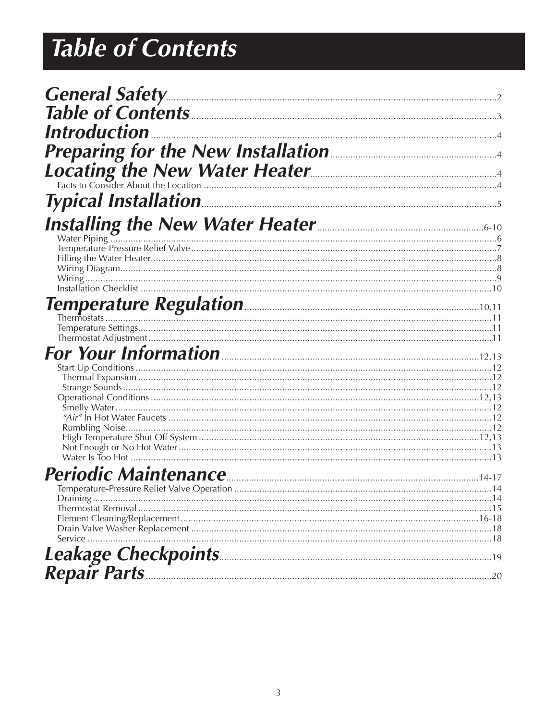# **Table of Contents**

| <b>General Safety.</b>                                                                                                                                                                                                                |  |
|---------------------------------------------------------------------------------------------------------------------------------------------------------------------------------------------------------------------------------------|--|
|                                                                                                                                                                                                                                       |  |
| <i><b>Introduction</b></i>                                                                                                                                                                                                            |  |
|                                                                                                                                                                                                                                       |  |
|                                                                                                                                                                                                                                       |  |
| <b>Preparing for the New Installation Analytical Preparing the New Water Heater</b>                                                                                                                                                   |  |
|                                                                                                                                                                                                                                       |  |
| <b>Installing the New Water Heater</b><br>Water Piping Mater Piping Contract Contract Contract Contract Contract Contract Contract Contract Contract Contract Contract Contract Contract Contract Contract Contract Contract Contract |  |
|                                                                                                                                                                                                                                       |  |
|                                                                                                                                                                                                                                       |  |
|                                                                                                                                                                                                                                       |  |
|                                                                                                                                                                                                                                       |  |
|                                                                                                                                                                                                                                       |  |
|                                                                                                                                                                                                                                       |  |
|                                                                                                                                                                                                                                       |  |
|                                                                                                                                                                                                                                       |  |
| For Your Information <b>Example 2018</b> 2014 12,13                                                                                                                                                                                   |  |
|                                                                                                                                                                                                                                       |  |
|                                                                                                                                                                                                                                       |  |
|                                                                                                                                                                                                                                       |  |
|                                                                                                                                                                                                                                       |  |
|                                                                                                                                                                                                                                       |  |
|                                                                                                                                                                                                                                       |  |
|                                                                                                                                                                                                                                       |  |
|                                                                                                                                                                                                                                       |  |
|                                                                                                                                                                                                                                       |  |
|                                                                                                                                                                                                                                       |  |
|                                                                                                                                                                                                                                       |  |
|                                                                                                                                                                                                                                       |  |
|                                                                                                                                                                                                                                       |  |
|                                                                                                                                                                                                                                       |  |
|                                                                                                                                                                                                                                       |  |
|                                                                                                                                                                                                                                       |  |
|                                                                                                                                                                                                                                       |  |
|                                                                                                                                                                                                                                       |  |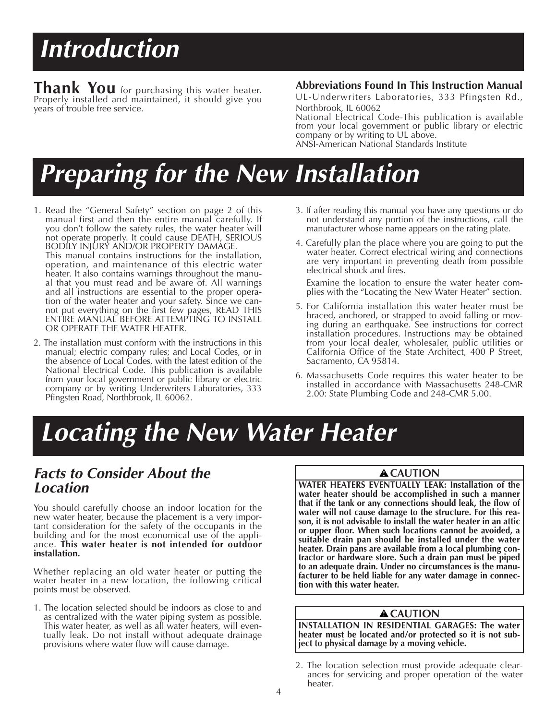# *Introduction*

**Thank You** for purchasing this water heater. Properly installed and maintained, it should give you years of trouble free service.

### **Abbreviations Found In This Instruction Manual**

UL-Underwriters Laboratories, 333 Pfingsten Rd., Northbrook, IL 60062

National Electrical Code-This publication is available from your local government or public library or electric company or by writing to UL above. ANSI-American National Standards Institute

# *Preparing for the New Installation*

- 1. Read the "General Safety" section on page 2 of this manual first and then the entire manual carefully. If you don't follow the safety rules, the water heater will not operate properly. It could cause DEATH, SERIOUS BODILY INJURY AND/OR PROPERTY DAMAGE. This manual contains instructions for the installation, operation, and maintenance of this electric water heater. It also contains warnings throughout the manual that you must read and be aware of. All warnings and all instructions are essential to the proper operation of the water heater and your safety. Since we cannot put everything on the first few pages, READ THIS ENTIRE MANUAL BEFORE ATTEMPTING TO INSTALL OR OPERATE THE WATER HEATER.
- 2. The installation must conform with the instructions in this manual; electric company rules; and Local Codes, or in the absence of Local Codes, with the latest edition of the National Electrical Code. This publication is available from your local government or public library or electric company or by writing Underwriters Laboratories, 333 Pfingsten Road, Northbrook, IL 60062.
- 3. If after reading this manual you have any questions or do not understand any portion of the instructions, call the manufacturer whose name appears on the rating plate.
- 4. Carefully plan the place where you are going to put the water heater. Correct electrical wiring and connections are very important in preventing death from possible electrical shock and fires.

Examine the location to ensure the water heater complies with the "Locating the New Water Heater" section.

- 5. For California installation this water heater must be braced, anchored, or strapped to avoid falling or moving during an earthquake. See instructions for correct installation procedures. Instructions may be obtained from your local dealer, wholesaler, public utilities or California Office of the State Architect, 400 P Street, Sacramento, CA 95814.
- 6. Massachusetts Code requires this water heater to be installed in accordance with Massachusetts 248-CMR 2.00: State Plumbing Code and 248-CMR 5.00.

# *Locating the New Water Heater*

### *Facts to Consider About the Location*

You should carefully choose an indoor location for the new water heater, because the placement is a very important consideration for the safety of the occupants in the building and for the most economical use of the appliance. **This water heater is not intended for outdoor installation.**

Whether replacing an old water heater or putting the water heater in a new location, the following critical points must be observed.

1. The location selected should be indoors as close to and as centralized with the water piping system as possible. This water heater, as well as all water heaters, will eventually leak. Do not install without adequate drainage provisions where water flow will cause damage.

### **A** CAUTION

**WATER HEATERS EVENTUALLY LEAK: Installation of the water heater should be accomplished in such a manner that if the tank or any connections should leak, the flow of water will not cause damage to the structure. For this reason, it is not advisable to install the water heater in an attic or upper floor. When such locations cannot be avoided, a suitable drain pan should be installed under the water heater. Drain pans are available from a local plumbing contractor or hardware store. Such a drain pan must be piped to an adequate drain. Under no circumstances is the manufacturer to be held liable for any water damage in connection with this water heater.**

### **A**CAUTION

**INSTALLATION IN RESIDENTIAL GARAGES: The water heater must be located and/or protected so it is not subject to physical damage by a moving vehicle.**

<sup>2.</sup> The location selection must provide adequate clearances for servicing and proper operation of the water heater.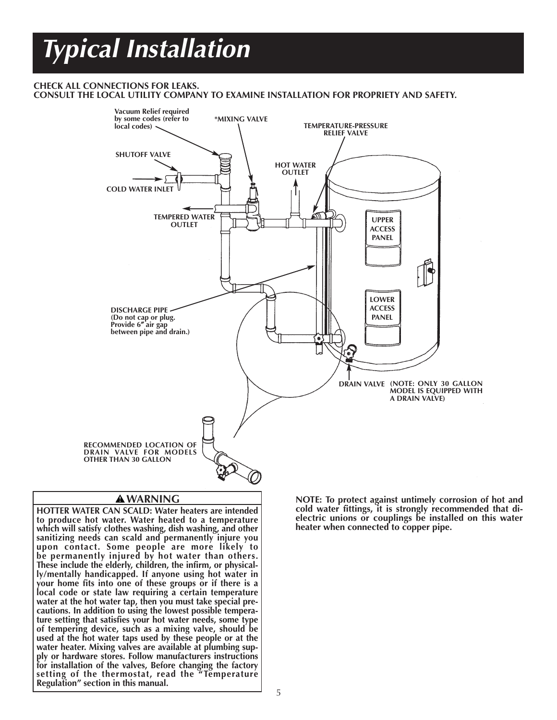# *Typical Installation*

### **CHECK ALL CONNECTIONS FOR LEAKS.**

**CONSULT THE LOCAL UTILITY COMPANY TO EXAMINE INSTALLATION FOR PROPRIETY AND SAFETY.**



### **WARNING**

**HOTTER WATER CAN SCALD: Water heaters are intended to produce hot water. Water heated to a temperature which will satisfy clothes washing, dish washing, and other sanitizing needs can scald and permanently injure you upon contact. Some people are more likely to be permanently injured by hot water than others. These include the elderly, children, the infirm, or physically/mentally handicapped. If anyone using hot water in your home fits into one of these groups or if there is a local code or state law requiring a certain temperature water at the hot water tap, then you must take special precautions. In addition to using the lowest possible temperature setting that satisfies your hot water needs, some type of tempering device, such as a mixing valve, should be used at the hot water taps used by these people or at the water heater. Mixing valves are available at plumbing supply or hardware stores. Follow manufacturers instructions for installation of the valves, Before changing the factory setting of the thermostat, read the "Temperature Regulation" section in this manual.**

**NOTE: To protect against untimely corrosion of hot and** cold water fittings, it is strongly recommended that di**electric unions or couplings be installed on this water heater when connected to copper pipe.**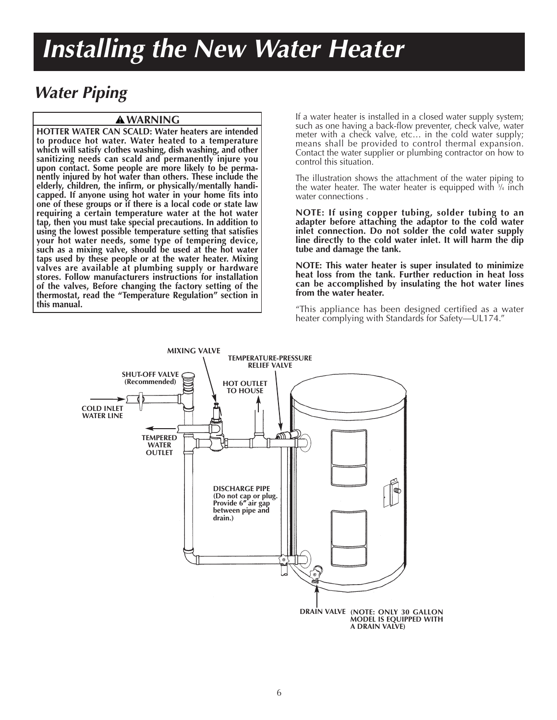# *Installing the New Water Heater*

### *Water Piping*

### **WARNING**

**HOTTER WATER CAN SCALD: Water heaters are intended to produce hot water. Water heated to a temperature which will satisfy clothes washing, dish washing, and other** sanitizing needs can scald and permanently injure you **upon contact. Some people are more likely to be permanently injured by hot water than others. These include the elderly, children, the infirm, or physically/mentally handicapped. If anyone using hot water in your home fits into one of these groups or if there is a local code or state law requiring a certain temperature water at the hot water tap, then you must take special precautions. In addition to using the lowest possible temperature setting that satisfies your hot water needs, some type of tempering device, such as a mixing valve, should be used at the hot water taps used by these people or at the water heater. Mixing valves are available at plumbing supply or hardware stores. Follow manufacturers instructions for installation of the valves, Before changing the factory setting of the thermostat, read the "Temperature Regulation" section in this manual.**

If a water heater is installed in a closed water supply system; such as one having a back-flow preventer, check valve, water meter with a check valve, etc… in the cold water supply; means shall be provided to control thermal expansion. Contact the water supplier or plumbing contractor on how to control this situation.

The illustration shows the attachment of the water piping to the water heater. The water heater is equipped with 3 ⁄4 inch water connections .

**NOTE: If using copper tubing, solder tubing to an adapter before attaching the adaptor to the cold water inlet connection. Do not solder the cold water supply line directly to the cold water inlet. It will harm the dip tube and damage the tank.**

**NOTE: This water heater is super insulated to minimize heat loss from the tank. Further reduction in heat loss can be accomplished by insulating the hot water lines from the water heater.**

"This appliance has been designed certified as a water heater complying with Standards for Safety—UL174."

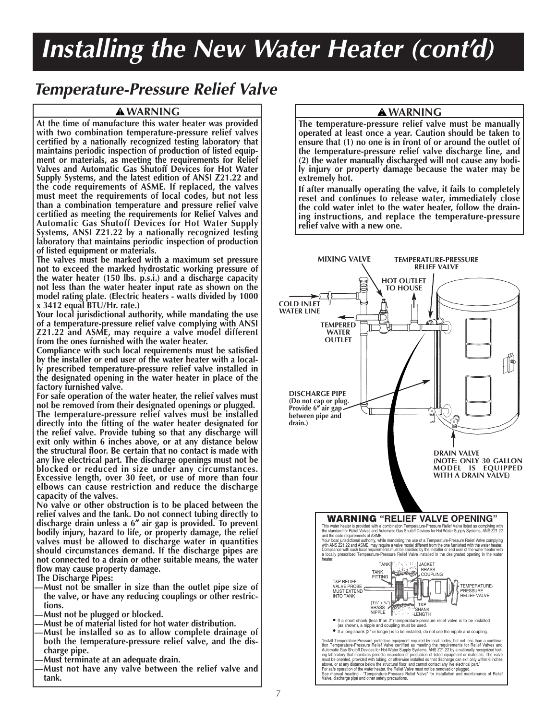### **Temperature-Pressure Relief Valve**

### **A WARNING**

At the time of manufacture this water heater was provided with two combination temperature-pressure relief valves certified by a nationally recognized testing laboratory that maintains periodic inspection of production of listed equipment or materials, as meeting the requirements for Relief Valves and Automatic Gas Shutoff Devices for Hot Water Supply Systems, and the latest edition of ANSI Z21.22 and the code requirements of ASME. If replaced, the valves must meet the requirements of local codes, but not less than a combination temperature and pressure relief valve certified as meeting the requirements for Relief Valves and Automatic Gas Shutoff Devices for Hot Water Supply Systems, ANSI Z21.22 by a nationally recognized testing laboratory that maintains periodic inspection of production of listed equipment or materials.

The valves must be marked with a maximum set pressure not to exceed the marked hydrostatic working pressure of the water heater (150 lbs. p.s.i.) and a discharge capacity not less than the water heater input rate as shown on the model rating plate. (Electric heaters - watts divided by 1000 x 3412 equal BTU/Hr. rate.)

Your local jurisdictional authority, while mandating the use of a temperature-pressure relief valve complying with ANSI Z21.22 and ASME, may require a valve model different from the ones furnished with the water heater.

Compliance with such local requirements must be satisfied by the installer or end user of the water heater with a locally prescribed temperature-pressure relief valve installed in the designated opening in the water heater in place of the factory furnished valve.

For safe operation of the water heater, the relief valves must not be removed from their designated openings or plugged.

The temperature-pressure relief valves must be installed directly into the fitting of the water heater designated for the relief valve. Provide tubing so that any discharge will exit only within 6 inches above, or at any distance below the structural floor. Be certain that no contact is made with any live electrical part. The discharge openings must not be blocked or reduced in size under any circumstances. Excessive length, over 30 feet, or use of more than four elbows can cause restriction and reduce the discharge capacity of the valves.

No valve or other obstruction is to be placed between the relief valves and the tank. Do not connect tubing directly to discharge drain unless a 6" air gap is provided. To prevent<br>bodily injury, hazard to life, or property damage, the relief valves must be allowed to discharge water in quantities should circumstances demand. If the discharge pipes are not connected to a drain or other suitable means, the water flow may cause property damage.

**The Discharge Pipes:** 

- -Must not be smaller in size than the outlet pipe size of the valve, or have any reducing couplings or other restrictions.
- Must not be plugged or blocked.
- Must be of material listed for hot water distribution.
- Must be installed so as to allow complete drainage of both the temperature-pressure relief valve, and the discharge pipe.
- Must terminate at an adequate drain.
- Must not have any valve between the relief valve and tank.

### **A** WARNING

The temperature-pressure relief valve must be manually operated at least once a year. Caution should be taken to ensure that (1) no one is in front of or around the outlet of the temperature-pressure relief valve discharge line, and (2) the water manually discharged will not cause any bodily injury or property damage because the water may be extremely hot.

If after manually operating the valve, it fails to completely reset and continues to release water, immediately close the cold water inlet to the water heater, follow the draining instructions, and replace the temperature-pressure relief valve with a new one.

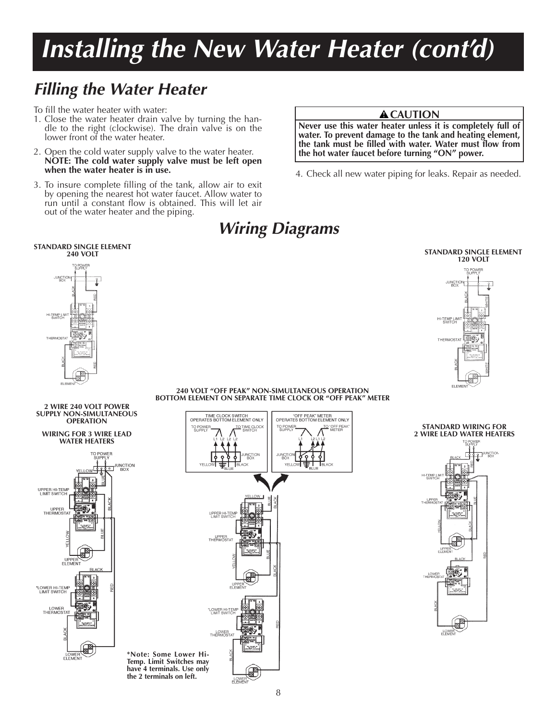### *Filling the Water Heater*

To fill the water heater with water:

- 1. Close the water heater drain valve by turning the handle to the right (clockwise). The drain valve is on the lower front of the water heater.
- 2. Open the cold water supply valve to the water heater. **NOTE: The cold water supply valve must be left open when the water heater is in use.**
- 3. To insure complete filling of the tank, allow air to exit by opening the nearest hot water faucet. Allow water to run until a constant flow is obtained. This will let air out of the water heater and the piping.

#### **A** CAUTION

**Never use this water heater unless it is completely full of water. To prevent damage to the tank and heating element, the tank must be filled with water. Water must flow from the hot water faucet before turning "ON" power.**

4. Check all new water piping for leaks. Repair as needed.



### *Wiring Diagrams*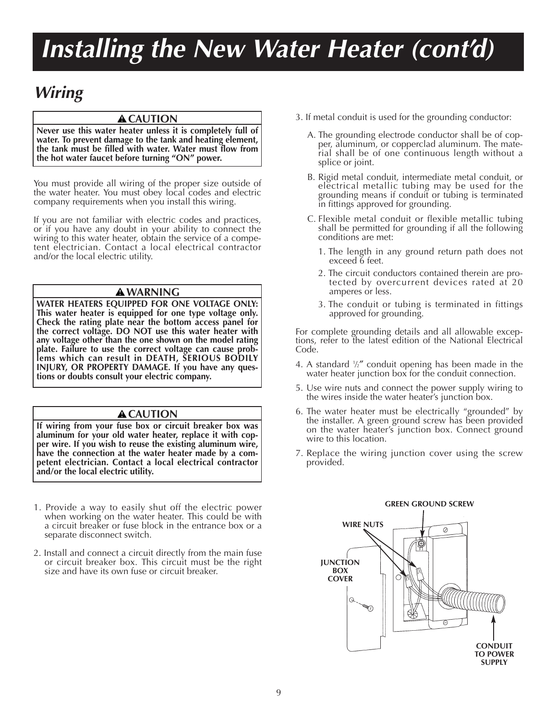### *Wiring*

### A CAUTION

**Never use this water heater unless it is completely full of water. To prevent damage to the tank and heating element, the tank must be filled with water. Water must flow from the hot water faucet before turning "ON" power.**

You must provide all wiring of the proper size outside of the water heater. You must obey local codes and electric company requirements when you install this wiring.

If you are not familiar with electric codes and practices, or if you have any doubt in your ability to connect the wiring to this water heater, obtain the service of a competent electrician. Contact a local electrical contractor and/or the local electric utility.

### **WARNING**

**WATER HEATERS EQUIPPED FOR ONE VOLTAGE ONLY: This water heater is equipped for one type voltage only. Check the rating plate near the bottom access panel for the correct voltage. DO NOT use this water heater with any voltage other than the one shown on the model rating plate. Failure to use the correct voltage can cause problems which can result in DEATH, SERIOUS BODILY INJURY, OR PROPERTY DAMAGE. If you have any questions or doubts consult your electric company.**

### **A**CAUTION

**If wiring from your fuse box or circuit breaker box was aluminum for your old water heater, replace it with copper wire. If you wish to reuse the existing aluminum wire, have the connection at the water heater made by a competent electrician. Contact a local electrical contractor and/or the local electric utility.**

- 1. Provide a way to easily shut off the electric power when working on the water heater. This could be with a circuit breaker or fuse block in the entrance box or a separate disconnect switch.
- 2. Install and connect a circuit directly from the main fuse or circuit breaker box. This circuit must be the right size and have its own fuse or circuit breaker.
- 3. If metal conduit is used for the grounding conductor:
	- A. The grounding electrode conductor shall be of copper, aluminum, or copperclad aluminum. The material shall be of one continuous length without a splice or joint.
	- B. Rigid metal conduit, intermediate metal conduit, or electrical metallic tubing may be used for the grounding means if conduit or tubing is terminated in fittings approved for grounding.
	- C. Flexible metal conduit or flexible metallic tubing shall be permitted for grounding if all the following conditions are met:
		- 1. The length in any ground return path does not exceed 6 feet.
		- 2. The circuit conductors contained therein are protected by overcurrent devices rated at 20 amperes or less.
		- 3. The conduit or tubing is terminated in fittings approved for grounding.

For complete grounding details and all allowable exceptions, refer to the latest edition of the National Electrical Code.

- 4. A standard 1 ⁄2″ conduit opening has been made in the water heater junction box for the conduit connection.
- 5. Use wire nuts and connect the power supply wiring to the wires inside the water heater's junction box.
- 6. The water heater must be electrically "grounded" by the installer. A green ground screw has been provided on the water heater's junction box. Connect ground wire to this location.
- 7. Replace the wiring junction cover using the screw provided.

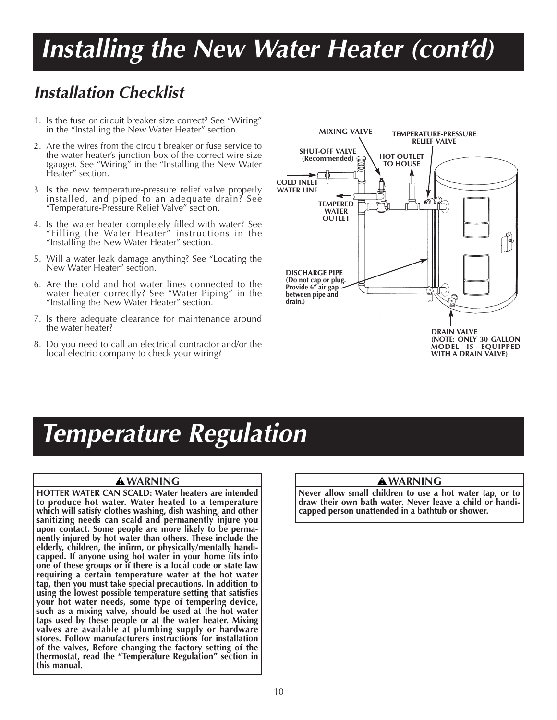### *Installation Checklist*

- 1. Is the fuse or circuit breaker size correct? See "Wiring" in the "Installing the New Water Heater" section.
- 2. Are the wires from the circuit breaker or fuse service to the water heater's junction box of the correct wire size (gauge). See "Wiring" in the "Installing the New Water Heater" section.
- 3. Is the new temperature-pressure relief valve properly installed, and piped to an adequate drain? See "Temperature-Pressure Relief Valve" section.
- 4. Is the water heater completely filled with water? See "Filling the Water Heater" instructions in the "Installing the New Water Heater" section.
- 5. Will a water leak damage anything? See "Locating the New Water Heater" section.
- 6. Are the cold and hot water lines connected to the water heater correctly? See "Water Piping" in the "Installing the New Water Heater" section.
- 7. Is there adequate clearance for maintenance around the water heater?
- 8. Do you need to call an electrical contractor and/or the local electric company to check your wiring?



# *Temperature Regulation*

### **WARNING**

**HOTTER WATER CAN SCALD: Water heaters are intended to produce hot water. Water heated to a temperature which will satisfy clothes washing, dish washing, and other sanitizing needs can scald and permanently injure you upon contact. Some people are more likely to be permanently injured by hot water than others. These include the elderly, children, the infirm, or physically/mentally handicapped. If anyone using hot water in your home fits into one of these groups or if there is a local code or state law requiring a certain temperature water at the hot water tap, then you must take special precautions. In addition to using the lowest possible temperature setting that satisfies your hot water needs, some type of tempering device, such as a mixing valve, should be used at the hot water taps used by these people or at the water heater. Mixing valves are available at plumbing supply or hardware stores. Follow manufacturers instructions for installation of the valves, Before changing the factory setting of the thermostat, read the "Temperature Regulation" section in this manual.**

### **WARNING**

**Never allow small children to use a hot water tap, or to draw their own bath water. Never leave a child or handicapped person unattended in a bathtub or shower.**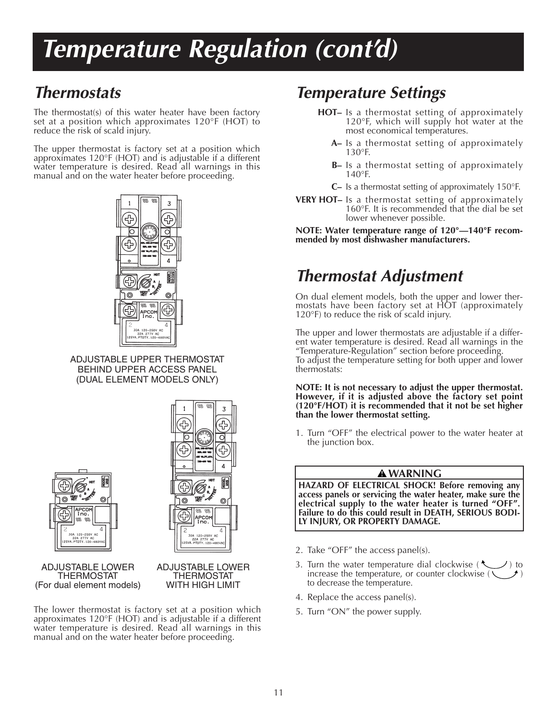# *Temperature Regulation (cont'd)*

### *Thermostats*

The thermostat(s) of this water heater have been factory set at a position which approximates 120°F (HOT) to reduce the risk of scald injury.

The upper thermostat is factory set at a position which approximates 120°F (HOT) and is adjustable if a different water temperature is desired. Read all warnings in this manual and on the water heater before proceeding.



ADJUSTABLE UPPER THERMOSTAT BEHIND UPPER ACCESS PANEL (DUAL ELEMENT MODELS ONLY)





ADJUSTABLE LOWER THERMOSTAT (For dual element models)

ADJUSTABLE LOWER THERMOSTAT WITH HIGH LIMIT

The lower thermostat is factory set at a position which approximates 120°F (HOT) and is adjustable if a different water temperature is desired. Read all warnings in this manual and on the water heater before proceeding.

### *Temperature Settings*

- **HOT–** Is a thermostat setting of approximately 120°F, which will supply hot water at the most economical temperatures.
	- **A–** Is a thermostat setting of approximately 130°F.
	- **B–** Is a thermostat setting of approximately 140°F.
	- **C–** Is a thermostat setting of approximately 150°F.
- **VERY HOT–** Is a thermostat setting of approximately 160°F. It is recommended that the dial be set lower whenever possible.

**NOTE: Water temperature range of 120°—140°F recommended by most dishwasher manufacturers.**

### *Thermostat Adjustment*

On dual element models, both the upper and lower thermostats have been factory set at HOT (approximately 120°F) to reduce the risk of scald injury.

The upper and lower thermostats are adjustable if a different water temperature is desired. Read all warnings in the "Temperature-Regulation" section before proceeding. To adjust the temperature setting for both upper and lower thermostats:

#### **NOTE: It is not necessary to adjust the upper thermostat. However, if it is adjusted above the factory set point (120°F/HOT) it is recommended that it not be set higher than the lower thermostat setting.**

1. Turn "OFF" the electrical power to the water heater at the junction box.

### **WARNING**

**HAZARD OF ELECTRICAL SHOCK! Before removing any access panels or servicing the water heater, make sure the electrical supply to the water heater is turned "OFF". Failure to do this could result in DEATH, SERIOUS BODI-LY INJURY, OR PROPERTY DAMAGE.**

- 2. Take "OFF" the access panel(s).
- 3. Turn the water temperature dial clockwise ( $\bigcirc$ ) to increase the temperature, or counter clockwise  $($ to decrease the temperature.
- 4. Replace the access panel(s).
- 5. Turn "ON" the power supply.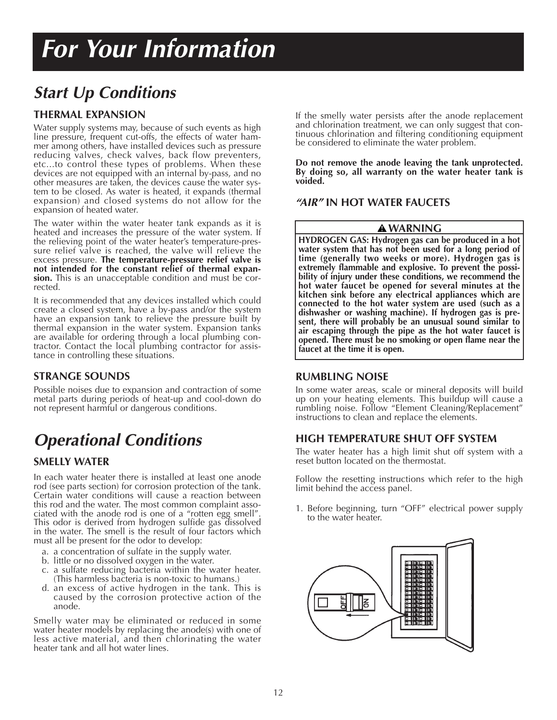### *Start Up Conditions*

### **THERMAL EXPANSION**

Water supply systems may, because of such events as high line pressure, frequent cut-offs, the effects of water hammer among others, have installed devices such as pressure reducing valves, check valves, back flow preventers, etc...to control these types of problems. When these devices are not equipped with an internal by-pass, and no other measures are taken, the devices cause the water system to be closed. As water is heated, it expands (thermal expansion) and closed systems do not allow for the expansion of heated water.

The water within the water heater tank expands as it is heated and increases the pressure of the water system. If the relieving point of the water heater's temperature-pressure relief valve is reached, the valve will relieve the excess pressure. **The temperature-pressure relief valve is not intended for the constant relief of thermal expansion.** This is an unacceptable condition and must be corrected.

It is recommended that any devices installed which could create a closed system, have a by-pass and/or the system have an expansion tank to relieve the pressure built by thermal expansion in the water system. Expansion tanks are available for ordering through a local plumbing contractor. Contact the local plumbing contractor for assistance in controlling these situations.

### **STRANGE SOUNDS**

Possible noises due to expansion and contraction of some metal parts during periods of heat-up and cool-down do not represent harmful or dangerous conditions.

### *Operational Conditions*

### **SMELLY WATER**

In each water heater there is installed at least one anode rod (see parts section) for corrosion protection of the tank. Certain water conditions will cause a reaction between this rod and the water. The most common complaint associated with the anode rod is one of a "rotten egg smell". This odor is derived from hydrogen sulfide gas dissolved in the water. The smell is the result of four factors which must all be present for the odor to develop:

- a. a concentration of sulfate in the supply water.
- b. little or no dissolved oxygen in the water.
- c. a sulfate reducing bacteria within the water heater. (This harmless bacteria is non-toxic to humans.)
- d. an excess of active hydrogen in the tank. This is caused by the corrosion protective action of the anode.

Smelly water may be eliminated or reduced in some water heater models by replacing the anode(s) with one of less active material, and then chlorinating the water heater tank and all hot water lines.

If the smelly water persists after the anode replacement and chlorination treatment, we can only suggest that continuous chlorination and filtering conditioning equipment be considered to eliminate the water problem.

**Do not remove the anode leaving the tank unprotected. By doing so, all warranty on the water heater tank is voided.**

### *"AIR"* **IN HOT WATER FAUCETS**

### **WARNING**

**HYDROGEN GAS: Hydrogen gas can be produced in a hot water system that has not been used for a long period of time (generally two weeks or more). Hydrogen gas is extremely flammable and explosive. To prevent the possibility of injury under these conditions, we recommend the hot water faucet be opened for several minutes at the kitchen sink before any electrical appliances which are connected to the hot water system are used (such as a dishwasher or washing machine). If hydrogen gas is present, there will probably be an unusual sound similar to air escaping through the pipe as the hot water faucet is opened. There must be no smoking or open flame near the faucet at the time it is open.**

### **RUMBLING NOISE**

In some water areas, scale or mineral deposits will build up on your heating elements. This buildup will cause a rumbling noise. Follow "Element Cleaning/Replacement" instructions to clean and replace the elements.

### **HIGH TEMPERATURE SHUT OFF SYSTEM**

The water heater has a high limit shut off system with a reset button located on the thermostat.

Follow the resetting instructions which refer to the high limit behind the access panel.

1. Before beginning, turn "OFF" electrical power supply to the water heater.

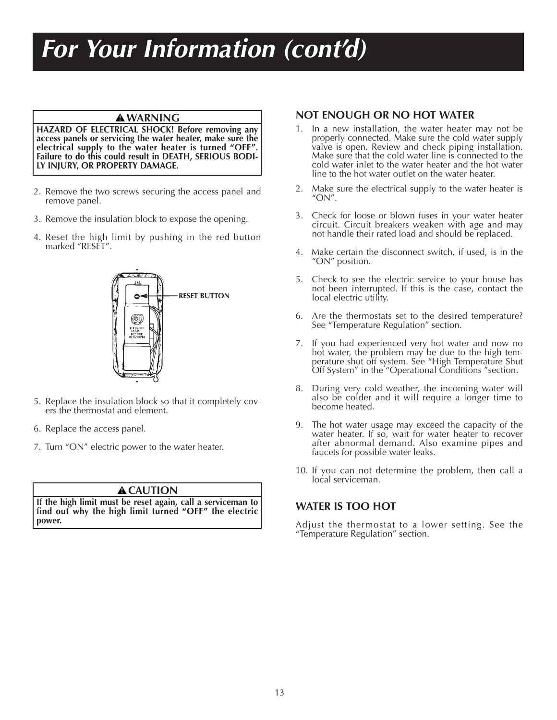# *For Your Information (cont'd)*

### **WARNING**

**HAZARD OF ELECTRICAL SHOCK! Before removing any access panels or servicing the water heater, make sure the electrical supply to the water heater is turned "OFF". Failure to do this could result in DEATH, SERIOUS BODI-LY INJURY, OR PROPERTY DAMAGE.**

- 2. Remove the two screws securing the access panel and remove panel.
- 3. Remove the insulation block to expose the opening.
- 4. Reset the high limit by pushing in the red button marked "RESET".



- 5. Replace the insulation block so that it completely covers the thermostat and element.
- 6. Replace the access panel.
- 7. Turn "ON" electric power to the water heater.

### **A** CAUTION

**If the high limit must be reset again, call a serviceman to find out why the high limit turned "OFF" the electric power.**

### **NOT ENOUGH OR NO HOT WATER**

- 1. In a new installation, the water heater may not be properly connected. Make sure the cold water supply valve is open. Review and check piping installation. Make sure that the cold water line is connected to the cold water inlet to the water heater and the hot water line to the hot water outlet on the water heater.
- 2. Make sure the electrical supply to the water heater is "ON".
- 3. Check for loose or blown fuses in your water heater circuit. Circuit breakers weaken with age and may not handle their rated load and should be replaced.
- 4. Make certain the disconnect switch, if used, is in the "ON" position.
- 5. Check to see the electric service to your house has not been interrupted. If this is the case, contact the local electric utility.
- 6. Are the thermostats set to the desired temperature? See "Temperature Regulation" section.
- 7. If you had experienced very hot water and now no hot water, the problem may be due to the high temperature shut off system. See "High Temperature Shut Off System" in the "Operational Conditions "section.
- 8. During very cold weather, the incoming water will also be colder and it will require a longer time to become heated.
- 9. The hot water usage may exceed the capacity of the water heater. If so, wait for water heater to recover after abnormal demand. Also examine pipes and faucets for possible water leaks.
- 10. If you can not determine the problem, then call a local serviceman.

### **WATER IS TOO HOT**

Adjust the thermostat to a lower setting. See the "Temperature Regulation" section.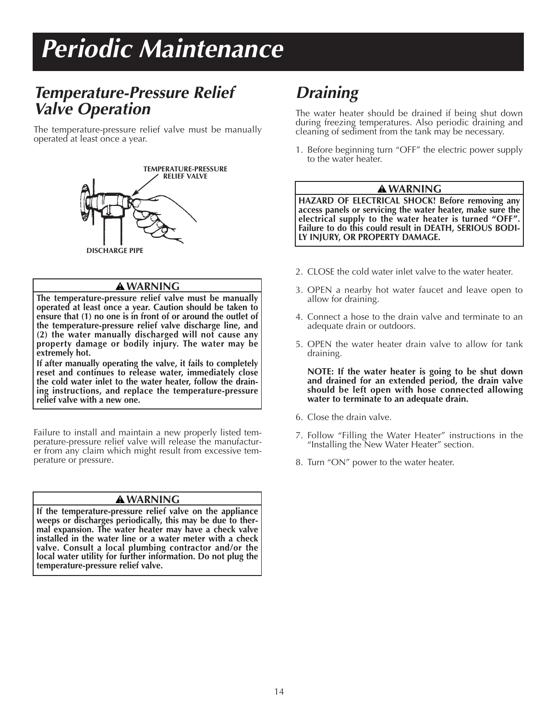# *Periodic Maintenance*

### *Temperature-Pressure Relief Valve Operation*

The temperature-pressure relief valve must be manually operated at least once a year.



#### **WARNING**

**The temperature-pressure relief valve must be manually operated at least once a year. Caution should be taken to ensure that (1) no one is in front of or around the outlet of the temperature-pressure relief valve discharge line, and (2) the water manually discharged will not cause any property damage or bodily injury. The water may be extremely hot.**

**If after manually operating the valve, it fails to completely reset and continues to release water, immediately close the cold water inlet to the water heater, follow the draining instructions, and replace the temperature-pressure relief valve with a new one.**

Failure to install and maintain a new properly listed temperature-pressure relief valve will release the manufacturer from any claim which might result from excessive temperature or pressure.

#### **WARNING**

**If the temperature-pressure relief valve on the appliance weeps or discharges periodically, this may be due to thermal expansion. The water heater may have a check valve installed in the water line or a water meter with a check valve. Consult a local plumbing contractor and/or the local water utility for further information. Do not plug the temperature-pressure relief valve.**

### *Draining*

The water heater should be drained if being shut down during freezing temperatures. Also periodic draining and cleaning of sediment from the tank may be necessary.

1. Before beginning turn "OFF" the electric power supply to the water heater.

#### **WARNING**

**HAZARD OF ELECTRICAL SHOCK! Before removing any access panels or servicing the water heater, make sure the electrical supply to the water heater is turned "OFF". Failure to do this could result in DEATH, SERIOUS BODI-LY INJURY, OR PROPERTY DAMAGE.**

- 2. CLOSE the cold water inlet valve to the water heater.
- 3. OPEN a nearby hot water faucet and leave open to allow for draining.
- 4. Connect a hose to the drain valve and terminate to an adequate drain or outdoors.
- 5. OPEN the water heater drain valve to allow for tank draining.

**NOTE: If the water heater is going to be shut down and drained for an extended period, the drain valve should be left open with hose connected allowing water to terminate to an adequate drain.**

- 6. Close the drain valve.
- 7. Follow "Filling the Water Heater" instructions in the "Installing the New Water Heater" section.
- 8. Turn "ON" power to the water heater.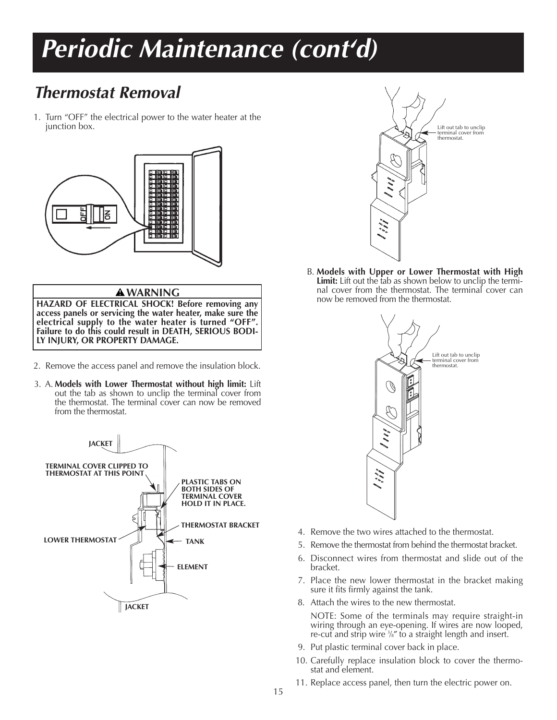### *Thermostat Removal*

1. Turn "OFF" the electrical power to the water heater at the junction box.



#### **WARNING**

**HAZARD OF ELECTRICAL SHOCK! Before removing any access panels or servicing the water heater, make sure the electrical supply to the water heater is turned "OFF". Failure to do this could result in DEATH, SERIOUS BODI-LY INJURY, OR PROPERTY DAMAGE.**

- 2. Remove the access panel and remove the insulation block.
- 3. A. **Models with Lower Thermostat without high limit:** Lift out the tab as shown to unclip the terminal cover from the thermostat. The terminal cover can now be removed from the thermostat.





B. **Models with Upper or Lower Thermostat with High Limit:** Lift out the tab as shown below to unclip the terminal cover from the thermostat. The terminal cover can now be removed from the thermostat.



- 4. Remove the two wires attached to the thermostat.
- 5. Remove the thermostat from behind the thermostat bracket.
- 6. Disconnect wires from thermostat and slide out of the bracket.
- 7. Place the new lower thermostat in the bracket making sure it fits firmly against the tank.
- 8. Attach the wires to the new thermostat.

NOTE: Some of the terminals may require straight-in wiring through an eye-opening. If wires are now looped, re-cut and strip wire <sup>3</sup> ⁄8″ to a straight length and insert.

- 9. Put plastic terminal cover back in place.
- 10. Carefully replace insulation block to cover the thermo stat and element.
- 11. Replace access panel, then turn the electric power on.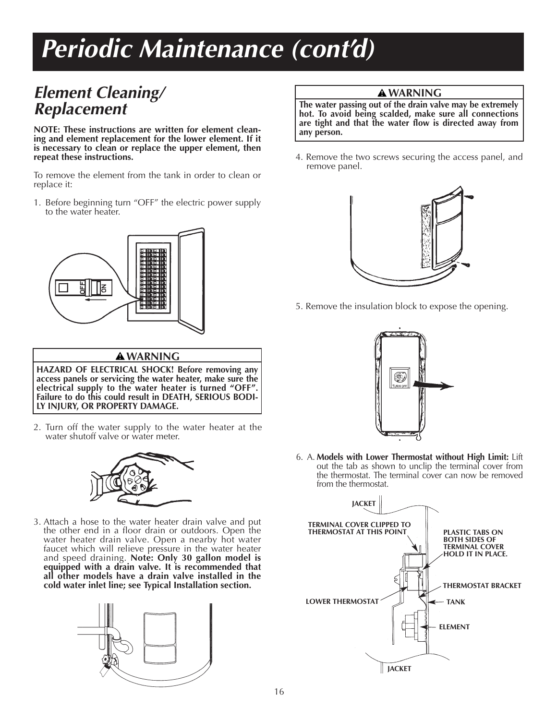### *Element Cleaning/ Replacement*

**NOTE: These instructions are written for element cleaning and element replacement for the lower element. If it is necessary to clean or replace the upper element, then repeat these instructions.**

To remove the element from the tank in order to clean or replace it:

1. Before beginning turn "OFF" the electric power supply to the water heater.



### **WARNING**

**HAZARD OF ELECTRICAL SHOCK! Before removing any access panels or servicing the water heater, make sure the electrical supply to the water heater is turned "OFF". Failure to do this could result in DEATH, SERIOUS BODI-LY INJURY, OR PROPERTY DAMAGE.**

2. Turn off the water supply to the water heater at the water shutoff valve or water meter.



3. Attach a hose to the water heater drain valve and put the other end in a floor drain or outdoors. Open the water heater drain valve. Open a nearby hot water faucet which will relieve pressure in the water heater and speed draining. **Note: Only 30 gallon model is equipped with a drain valve. It is recommended that all other models have a drain valve installed in the cold water inlet line; see Typical Installation section.**



### **WARNING**

**The water passing out of the drain valve may be extremely hot. To avoid being scalded, make sure all connections are tight and that the water flow is directed away from any person.**

4. Remove the two screws securing the access panel, and remove panel.



5. Remove the insulation block to expose the opening.



6. A. **Models with Lower Thermostat without High Limit:** Lift out the tab as shown to unclip the terminal cover from the thermostat. The terminal cover can now be removed from the thermostat.

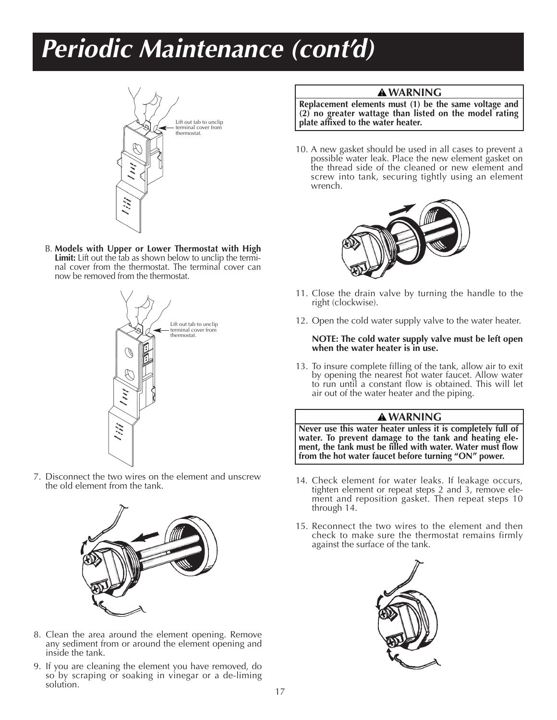

B. **Models with Upper or Lower Thermostat with High Limit:** Lift out the tab as shown below to unclip the termi nal cover from the thermostat. The terminal cover can now be removed from the thermostat.



7. Disconnect the two wires on the element and unscrew the old element from the tank.



- 8. Clean the area around the element opening. Remove any sediment from or around the element opening and inside the tank.
- 9. If you are cleaning the element you have removed, do so by scraping or soaking in vinegar or a de-liming solution.

### **WARNING**

**Replacement elements must (1) be the same voltage and (2) no greater wattage than listed on the model rating plate affixed to the water heater.**

10. A new gasket should be used in all cases to prevent a possible water leak. Place the new element gasket on the thread side of the cleaned or new element and screw into tank, securing tightly using an element wrench.



- 11. Close the drain valve by turning the handle to the right (clockwise).
- 12. Open the cold water supply valve to the water heater.

#### **NOTE: The cold water supply valve must be left open when the water heater is in use.**

13. To insure complete filling of the tank, allow air to exit by opening the nearest hot water faucet. Allow water to run until a constant flow is obtained. This will let air out of the water heater and the piping.

#### **WARNING**

**Never use this water heater unless it is completely full of water. To prevent damage to the tank and heating element, the tank must be filled with water. Water must flow from the hot water faucet before turning "ON" power.**

- 14. Check element for water leaks. If leakage occurs, tighten element or repeat steps 2 and 3, remove element and reposition gasket. Then repeat steps 10 through 14.
- 15. Reconnect the two wires to the element and then check to make sure the thermostat remains firmly against the surface of the tank.

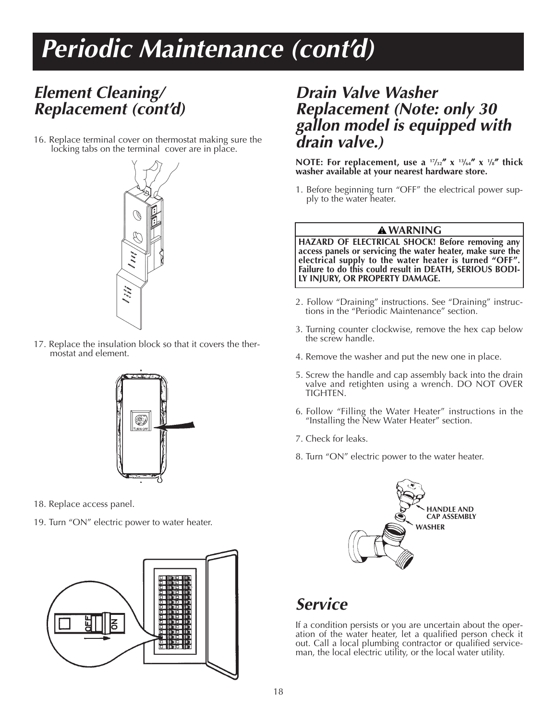### *Element Cleaning/ Replacement (cont'd)*

16. Replace terminal cover on thermostat making sure the locking tabs on the terminal cover are in place.



17. Replace the insulation block so that it covers the ther- mostat and element.



- 18. Replace access panel.
- 19. Turn "ON" electric power to water heater.



### *Drain Valve Washer Replacement (Note: only 30 gallon model is equipped with drain valve.)*

**NOTE: For replacement, use a 17⁄32**″ **x 13⁄64**″ **x 1 ⁄8**″ **thick washer available at your nearest hardware store.**

1. Before beginning turn "OFF" the electrical power supply to the water heater.

### **WARNING**

**HAZARD OF ELECTRICAL SHOCK! Before removing any access panels or servicing the water heater, make sure the electrical supply to the water heater is turned "OFF". Failure to do this could result in DEATH, SERIOUS BODI-LY INJURY, OR PROPERTY DAMAGE.**

- 2. Follow "Draining" instructions. See "Draining" instruc- tions in the "Periodic Maintenance" section.
- 3. Turning counter clockwise, remove the hex cap below the screw handle.
- 4. Remove the washer and put the new one in place.
- 5. Screw the handle and cap assembly back into the drain valve and retighten using a wrench. DO NOT OVER TIGHTEN.
- 6. Follow "Filling the Water Heater" instructions in the "Installing the New Water Heater" section.
- 7. Check for leaks.
- 8. Turn "ON" electric power to the water heater.



### *Service*

If a condition persists or you are uncertain about the operation of the water heater, let a qualified person check it out. Call a local plumbing contractor or qualified serviceman, the local electric utility, or the local water utility.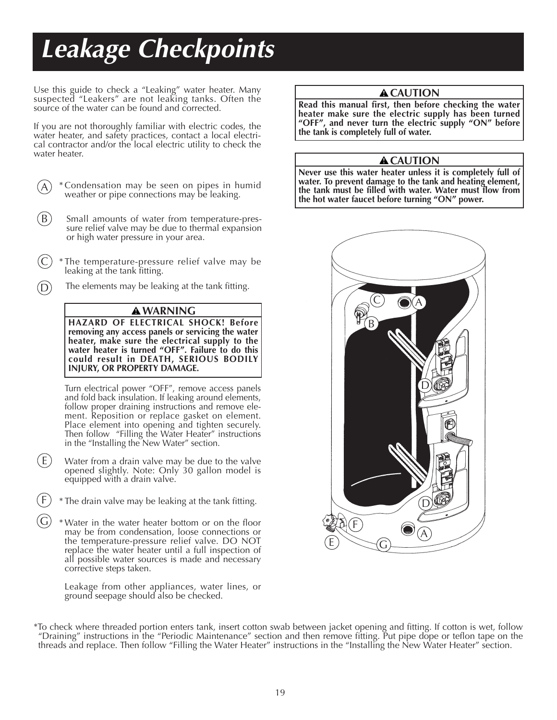# *Leakage Checkpoints*

Use this guide to check a "Leaking" water heater. Many suspected "Leakers" are not leaking tanks. Often the source of the water can be found and corrected.

If you are not thoroughly familiar with electric codes, the water heater, and safety practices, contact a local electrical contractor and/or the local electric utility to check the water heater.

- \* Condensation may be seen on pipes in humid weather or pipe connections may be leaking. A
- Small amounts of water from temperature-pressure relief valve may be due to thermal expansion or high water pressure in your area.  $(B)$
- \* The temperature-pressure relief valve may be leaking at the tank fitting. C
- The elements may be leaking at the tank fitting. D

#### **WARNING**

**HAZARD OF ELECTRICAL SHOCK! Before removing any access panels or servicing the water heater, make sure the electrical supply to the water heater is turned "OFF". Failure to do this could result in DEATH, SERIOUS BODILY INJURY, OR PROPERTY DAMAGE.**

Turn electrical power "OFF", remove access panels and fold back insulation. If leaking around elements, follow proper draining instructions and remove element. Reposition or replace gasket on element. Place element into opening and tighten securely. Then follow "Filling the Water Heater" instructions in the "Installing the New Water" section.

- (E) Water from a drain valve may be due to the valve opened slightly. Note: Only 30 gallon model is equipped with a drain valve.
- F \* The drain valve may be leaking at the tank fitting.
- G \* Water in the water heater bottom or on the floor may be from condensation, loose connections or the temperature-pressure relief valve. DO NOT replace the water heater until a full inspection of all possible water sources is made and necessary corrective steps taken.

Leakage from other appliances, water lines, or ground seepage should also be checked.

### **A**CAUTION

**Read this manual first, then before checking the water heater make sure the electric supply has been turned "OFF", and never turn the electric supply "ON" before the tank is completely full of water.**

#### **A** CAUTION

**Never use this water heater unless it is completely full of water. To prevent damage to the tank and heating element, the tank must be filled with water. Water must flow from the hot water faucet before turning "ON" power.**



\*To check where threaded portion enters tank, insert cotton swab between jacket opening and fitting. If cotton is wet, follow "Draining" instructions in the "Periodic Maintenance" section and then remove fitting. Put pipe dope or teflon tape on the threads and replace. Then follow "Filling the Water Heater" instructions in the "Installing the New Water Heater" section.